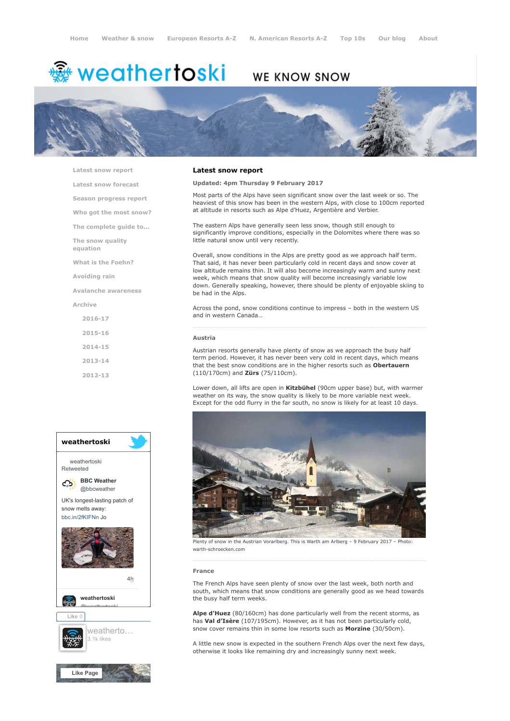# <del>鑾</del> weathertoski

# WE KNOW SNOW



[Latest snow report](https://www.weathertoski.co.uk/weather-snow/latest-snow-report/)

[Latest snow forecast](https://www.weathertoski.co.uk/weather-snow/latest-snow-forecast/) [Season progress report](https://www.weathertoski.co.uk/weather-snow/season-progress-report/) [Who got the most snow?](https://www.weathertoski.co.uk/weather-snow/who-got-the-most-snow/) [The complete guide to...](https://www.weathertoski.co.uk/weather-snow/the-complete-guide-to/) [The snow quality](https://www.weathertoski.co.uk/weather-snow/the-snow-quality-equation/) equation [What is the Foehn?](https://www.weathertoski.co.uk/weather-snow/what-is-the-foehn/)

[Avoiding rain](https://www.weathertoski.co.uk/weather-snow/avoiding-rain/)

[Avalanche awareness](https://www.weathertoski.co.uk/weather-snow/avalanche-awareness/)

[Archive](https://www.weathertoski.co.uk/weather-snow/archive/)

[2016-17](https://www.weathertoski.co.uk/weather-snow/archive/2016-17/) [2015-16](https://www.weathertoski.co.uk/weather-snow/archive/2015-16/) [2014-15](https://www.weathertoski.co.uk/weather-snow/archive/2014-15/) [2013-14](https://www.weathertoski.co.uk/weather-snow/archive/2013-14/)

[2012-13](https://www.weathertoski.co.uk/weather-snow/archive/2012-13/)



# Latest snow report

# Updated: 4pm Thursday 9 February 2017

Most parts of the Alps have seen significant snow over the last week or so. The heaviest of this snow has been in the western Alps, with close to 100cm reported at altitude in resorts such as Alpe d'Huez, Argentière and Verbier.

The eastern Alps have generally seen less snow, though still enough to significantly improve conditions, especially in the Dolomites where there was so little natural snow until very recently.

Overall, snow conditions in the Alps are pretty good as we approach half term. That said, it has never been particularly cold in recent days and snow cover at low altitude remains thin. It will also become increasingly warm and sunny next week, which means that snow quality will become increasingly variable low down. Generally speaking, however, there should be plenty of enjoyable skiing to be had in the Alps.

Across the pond, snow conditions continue to impress – both in the western US and in western Canada…

#### Austria

Austrian resorts generally have plenty of snow as we approach the busy half term period. However, it has never been very cold in recent days, which means that the best snow conditions are in the higher resorts such as Obertauern (110/170cm) and Zürs (75/110cm).

Lower down, all lifts are open in **Kitzbühel** (90cm upper base) but, with warmer weather on its way, the snow quality is likely to be more variable next week. Except for the odd flurry in the far south, no snow is likely for at least 10 days.



Plenty of snow in the Austrian Vorarlberg. This is Warth am Arlberg – 9 February 2017 – Photo: warth-schroecken.com

#### France

The French Alps have seen plenty of snow over the last week, both north and south, which means that snow conditions are generally good as we head towards the busy half term weeks.

Alpe d'Huez (80/160cm) has done particularly well from the recent storms, as has Val d'Isère (107/195cm). However, as it has not been particularly cold, snow cover remains thin in some low resorts such as Morzine (30/50cm).

A little new snow is expected in the southern French Alps over the next few days, otherwise it looks like remaining dry and increasingly sunny next week.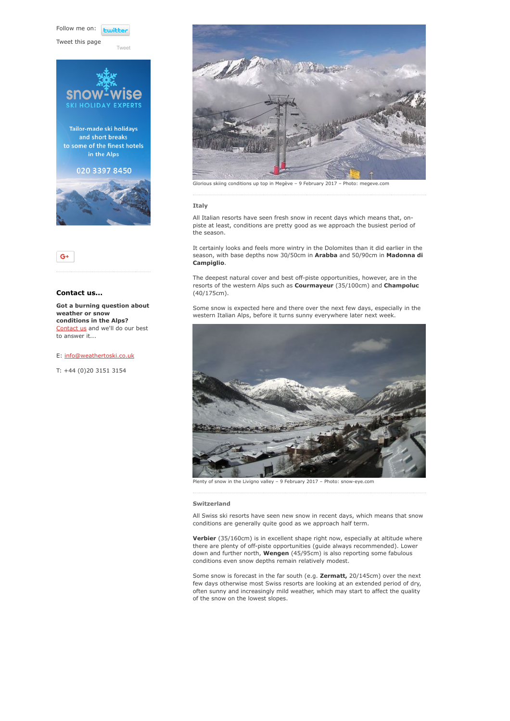Follow me on: **Lwitte** 

[Tweet](https://twitter.com/intent/tweet?original_referer=https%3A%2F%2Fwww.weathertoski.co.uk%2Fweather-snow%2Farchive%2Fsnow-report-09-02-2017%2F&ref_src=twsrc%5Etfw&text=Weather%20to%20ski%20-%20Snow%20report%20-%209%20February%202017&tw_p=tweetbutton&url=https%3A%2F%2Fwww.weathertoski.co.uk%2Fweather-snow%2Farchive%2Fsnow-report-09-02-2017%2F)

Tweet this page





# Contact us...

Got a burning question about weather or snow conditions in the Alps? [Contact us](https://www.weathertoski.co.uk/about-1/contact-us/) and we'll do our best to answer it...

E: [info@weathertoski.co.uk](mailto:fraser@weathertoski.co.uk)

T: +44 (0)20 3151 3154



Glorious skiing conditions up top in Megève – 9 February 2017 – Photo: megeve.com

#### Italy

All Italian resorts have seen fresh snow in recent days which means that, onpiste at least, conditions are pretty good as we approach the busiest period of the season.

It certainly looks and feels more wintry in the Dolomites than it did earlier in the season, with base depths now 30/50cm in Arabba and 50/90cm in Madonna di Campiglio.

The deepest natural cover and best off-piste opportunities, however, are in the resorts of the western Alps such as Courmayeur (35/100cm) and Champoluc (40/175cm).

Some snow is expected here and there over the next few days, especially in the western Italian Alps, before it turns sunny everywhere later next week.



Plenty of snow in the Livigno valley – 9 February 2017 – Photo: snow-eye.com

#### Switzerland

All Swiss ski resorts have seen new snow in recent days, which means that snow conditions are generally quite good as we approach half term.

Verbier (35/160cm) is in excellent shape right now, especially at altitude where there are plenty of off-piste opportunities (guide always recommended). Lower down and further north, Wengen (45/95cm) is also reporting some fabulous conditions even snow depths remain relatively modest.

Some snow is forecast in the far south (e.g. Zermatt, 20/145cm) over the next few days otherwise most Swiss resorts are looking at an extended period of dry, often sunny and increasingly mild weather, which may start to affect the quality of the snow on the lowest slopes.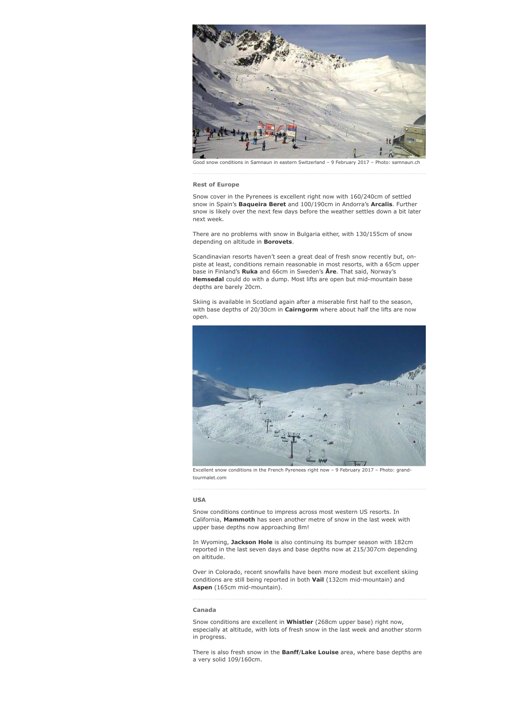

### Rest of Europe

Snow cover in the Pyrenees is excellent right now with 160/240cm of settled snow in Spain's Baqueira Beret and 100/190cm in Andorra's Arcalis. Further snow is likely over the next few days before the weather settles down a bit later next week.

There are no problems with snow in Bulgaria either, with 130/155cm of snow depending on altitude in **Borovets**.

Scandinavian resorts haven't seen a great deal of fresh snow recently but, onpiste at least, conditions remain reasonable in most resorts, with a 65cm upper base in Finland's Ruka and 66cm in Sweden's Åre. That said, Norway's Hemsedal could do with a dump. Most lifts are open but mid-mountain base depths are barely 20cm.

Skiing is available in Scotland again after a miserable first half to the season, with base depths of 20/30cm in Cairngorm where about half the lifts are now open.



Excellent snow conditions in the French Pyrenees right now – 9 February 2017 – Photo: grandtourmalet.com

## USA

Snow conditions continue to impress across most western US resorts. In California, Mammoth has seen another metre of snow in the last week with upper base depths now approaching 8m!

In Wyoming, Jackson Hole is also continuing its bumper season with 182cm reported in the last seven days and base depths now at 215/307cm depending on altitude.

Over in Colorado, recent snowfalls have been more modest but excellent skiing conditions are still being reported in both Vail (132cm mid-mountain) and Aspen (165cm mid-mountain).

#### Canada

Snow conditions are excellent in Whistler (268cm upper base) right now, especially at altitude, with lots of fresh snow in the last week and another storm in progress.

There is also fresh snow in the **Banff/Lake Louise** area, where base depths are a very solid 109/160cm.